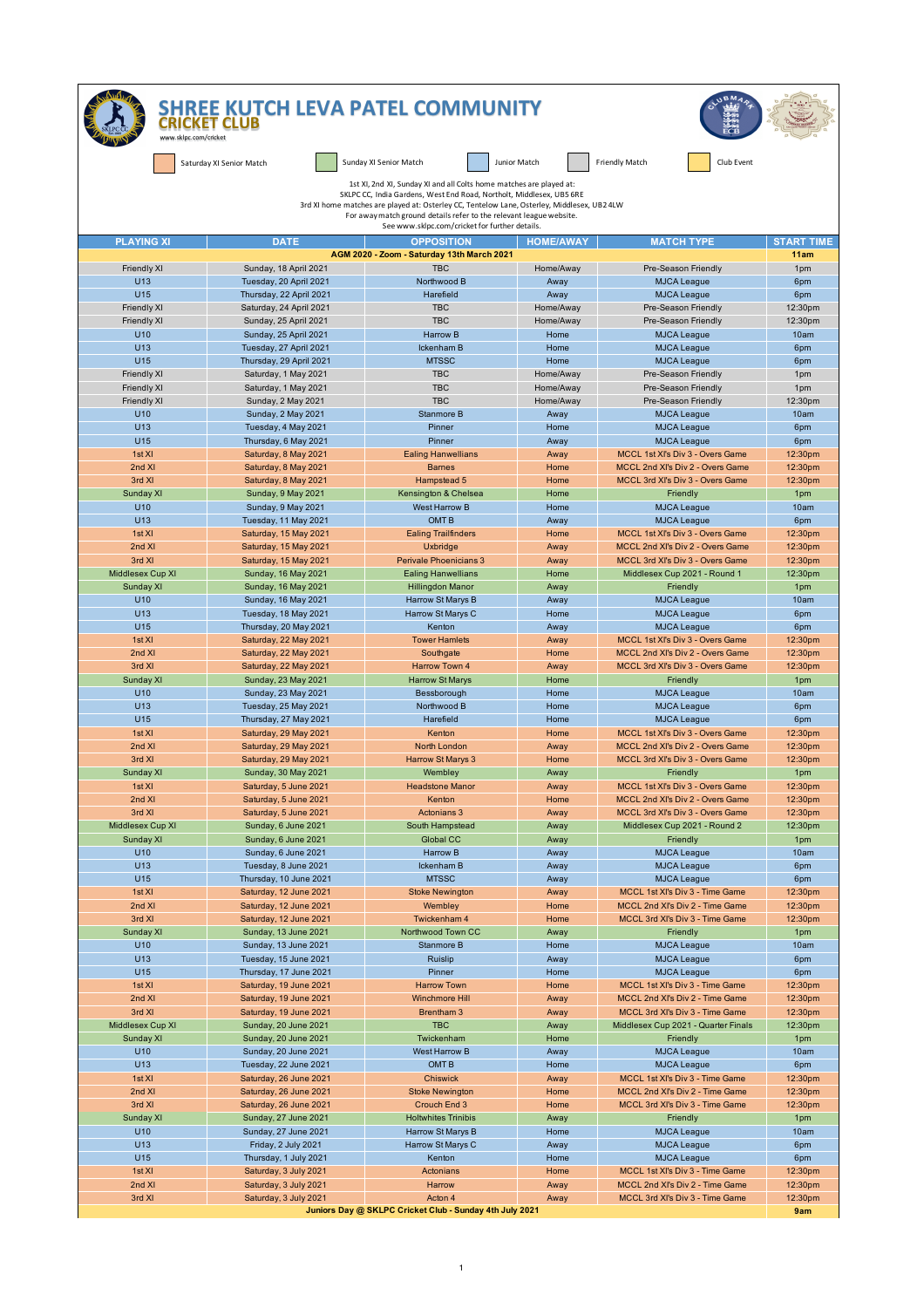| www.sklpc.com/cricket                    | <b>CRICKET CLUB</b>                                     | <b>SHREE KUTCH LEVA PATEL COMMUNITY</b>                                                                                                                                                                                                                                                                                                                             |                        | <b>UBM</b>                                                           |                    |  |  |
|------------------------------------------|---------------------------------------------------------|---------------------------------------------------------------------------------------------------------------------------------------------------------------------------------------------------------------------------------------------------------------------------------------------------------------------------------------------------------------------|------------------------|----------------------------------------------------------------------|--------------------|--|--|
|                                          | Saturday XI Senior Match                                | Sunday XI Senior Match                                                                                                                                                                                                                                                                                                                                              | Junior Match           | Club Event<br><b>Friendly Match</b>                                  |                    |  |  |
|                                          |                                                         | 1st XI, 2nd XI, Sunday XI and all Colts home matches are played at:<br>SKLPC CC, India Gardens, West End Road, Northolt, Middlesex, UB5 6RE<br>3rd XI home matches are played at: Osterley CC, Tentelow Lane, Osterley, Middlesex, UB2 4LW<br>For away match ground details refer to the relevant league website.<br>See www.sklpc.com/cricket for further details. |                        |                                                                      |                    |  |  |
| <b>PLAYING XI</b>                        | <b>DATE</b>                                             | <b>OPPOSITION</b>                                                                                                                                                                                                                                                                                                                                                   | <b>HOME/AWAY</b>       | <b>MATCH TYPE</b>                                                    | <b>START TIME</b>  |  |  |
|                                          |                                                         | AGM 2020 - Zoom - Saturday 13th March 2021                                                                                                                                                                                                                                                                                                                          |                        |                                                                      | 11am               |  |  |
| <b>Friendly XI</b>                       | Sunday, 18 April 2021                                   | <b>TBC</b>                                                                                                                                                                                                                                                                                                                                                          | Home/Away              | Pre-Season Friendly                                                  | 1pm                |  |  |
| U <sub>13</sub>                          | Tuesday, 20 April 2021                                  | Northwood B                                                                                                                                                                                                                                                                                                                                                         | Away                   | <b>MJCA League</b>                                                   | 6pm                |  |  |
| U15                                      | Thursday, 22 April 2021                                 | Harefield                                                                                                                                                                                                                                                                                                                                                           | Away                   | <b>MJCA League</b>                                                   | 6pm                |  |  |
| <b>Friendly XI</b><br><b>Friendly XI</b> | Saturday, 24 April 2021<br>Sunday, 25 April 2021        | <b>TBC</b><br><b>TBC</b>                                                                                                                                                                                                                                                                                                                                            | Home/Away<br>Home/Away | Pre-Season Friendly<br>Pre-Season Friendly                           | 12:30pm<br>12:30pm |  |  |
| U10                                      | Sunday, 25 April 2021                                   | <b>Harrow B</b>                                                                                                                                                                                                                                                                                                                                                     | Home                   | <b>MJCA League</b>                                                   | 10am               |  |  |
| U <sub>13</sub>                          | Tuesday, 27 April 2021                                  | Ickenham B                                                                                                                                                                                                                                                                                                                                                          | Home                   | <b>MJCA League</b>                                                   | 6pm                |  |  |
| U15                                      | Thursday, 29 April 2021                                 | <b>MTSSC</b>                                                                                                                                                                                                                                                                                                                                                        | Home                   | <b>MJCA League</b>                                                   | 6pm                |  |  |
| <b>Friendly XI</b>                       | Saturday, 1 May 2021                                    | <b>TBC</b>                                                                                                                                                                                                                                                                                                                                                          | Home/Away              | Pre-Season Friendly                                                  | 1pm                |  |  |
| <b>Friendly XI</b><br><b>Friendly XI</b> | Saturday, 1 May 2021<br>Sunday, 2 May 2021              | <b>TBC</b><br><b>TBC</b>                                                                                                                                                                                                                                                                                                                                            | Home/Away<br>Home/Away | Pre-Season Friendly<br>Pre-Season Friendly                           | 1pm<br>12:30pm     |  |  |
| U10                                      | Sunday, 2 May 2021                                      | Stanmore B                                                                                                                                                                                                                                                                                                                                                          | Away                   | <b>MJCA League</b>                                                   | 10am               |  |  |
| U <sub>13</sub>                          | Tuesday, 4 May 2021                                     | Pinner                                                                                                                                                                                                                                                                                                                                                              | Home                   | <b>MJCA League</b>                                                   | 6pm                |  |  |
| U15                                      | Thursday, 6 May 2021                                    | Pinner                                                                                                                                                                                                                                                                                                                                                              | Away                   | <b>MJCA League</b>                                                   | 6pm                |  |  |
| 1st XI                                   | Saturday, 8 May 2021                                    | <b>Ealing Hanwellians</b>                                                                                                                                                                                                                                                                                                                                           | Away                   | MCCL 1st XI's Div 3 - Overs Game                                     | 12:30pm            |  |  |
| 2nd XI                                   | Saturday, 8 May 2021                                    | <b>Barnes</b>                                                                                                                                                                                                                                                                                                                                                       | Home                   | MCCL 2nd XI's Div 2 - Overs Game<br>MCCL 3rd XI's Div 3 - Overs Game | 12:30pm            |  |  |
| 3rd XI<br>Sunday XI                      | Saturday, 8 May 2021<br>Sunday, 9 May 2021              | Hampstead 5<br>Kensington & Chelsea                                                                                                                                                                                                                                                                                                                                 | Home<br>Home           | Friendly                                                             | 12:30pm<br>1pm     |  |  |
| U10                                      | Sunday, 9 May 2021                                      | <b>West Harrow B</b>                                                                                                                                                                                                                                                                                                                                                | Home                   | <b>MJCA League</b>                                                   | 10am               |  |  |
| U <sub>13</sub>                          | Tuesday, 11 May 2021                                    | OMT <sub>B</sub>                                                                                                                                                                                                                                                                                                                                                    | Away                   | <b>MJCA League</b>                                                   | 6pm                |  |  |
| 1st XI                                   | Saturday, 15 May 2021                                   | <b>Ealing Trailfinders</b>                                                                                                                                                                                                                                                                                                                                          | Home                   | MCCL 1st XI's Div 3 - Overs Game                                     | 12:30pm            |  |  |
| 2nd XI                                   | Saturday, 15 May 2021                                   | <b>Uxbridge</b>                                                                                                                                                                                                                                                                                                                                                     | Away                   | MCCL 2nd XI's Div 2 - Overs Game                                     | 12:30pm            |  |  |
| 3rd XI<br>Middlesex Cup XI               | Saturday, 15 May 2021<br>Sunday, 16 May 2021            | Perivale Phoenicians 3<br><b>Ealing Hanwellians</b>                                                                                                                                                                                                                                                                                                                 | Away<br>Home           | MCCL 3rd XI's Div 3 - Overs Game<br>Middlesex Cup 2021 - Round 1     | 12:30pm<br>12:30pm |  |  |
| Sunday XI                                | Sunday, 16 May 2021                                     | <b>Hillingdon Manor</b>                                                                                                                                                                                                                                                                                                                                             | Away                   | Friendly                                                             | 1pm                |  |  |
| U10                                      | Sunday, 16 May 2021                                     | Harrow St Marys B                                                                                                                                                                                                                                                                                                                                                   | Away                   | <b>MJCA League</b>                                                   | 10am               |  |  |
| U <sub>13</sub>                          | Tuesday, 18 May 2021                                    | Harrow St Marys C                                                                                                                                                                                                                                                                                                                                                   | Home                   | <b>MJCA League</b>                                                   | 6pm                |  |  |
| U15                                      | Thursday, 20 May 2021                                   | Kenton                                                                                                                                                                                                                                                                                                                                                              | Away                   | <b>MJCA League</b>                                                   | 6pm                |  |  |
| 1st XI<br>2nd XI                         | Saturday, 22 May 2021                                   | <b>Tower Hamlets</b>                                                                                                                                                                                                                                                                                                                                                | Away                   | MCCL 1st XI's Div 3 - Overs Game<br>MCCL 2nd XI's Div 2 - Overs Game | 12:30pm            |  |  |
| 3rd XI                                   | Saturday, 22 May 2021<br>Saturday, 22 May 2021          | Southgate<br>Harrow Town 4                                                                                                                                                                                                                                                                                                                                          | Home<br>Away           | MCCL 3rd XI's Div 3 - Overs Game                                     | 12:30pm<br>12:30pm |  |  |
| Sunday XI                                | Sunday, 23 May 2021                                     | <b>Harrow St Marys</b>                                                                                                                                                                                                                                                                                                                                              | Home                   | Friendly                                                             | 1pm                |  |  |
| U10                                      | Sunday, 23 May 2021                                     | Bessborough                                                                                                                                                                                                                                                                                                                                                         | Home                   | <b>MJCA League</b>                                                   | 10am               |  |  |
| U <sub>13</sub>                          | Tuesday, 25 May 2021                                    | Northwood B                                                                                                                                                                                                                                                                                                                                                         | Home                   | <b>MJCA League</b>                                                   | 6pm                |  |  |
| U15                                      | Thursday, 27 May 2021                                   | Harefield                                                                                                                                                                                                                                                                                                                                                           | Home                   | <b>MJCA League</b>                                                   | 6pm                |  |  |
| 1st XI<br>2nd XI                         | Saturday, 29 May 2021<br>Saturday, 29 May 2021          | Kenton<br>North London                                                                                                                                                                                                                                                                                                                                              | Home<br>Away           | MCCL 1st XI's Div 3 - Overs Game<br>MCCL 2nd XI's Div 2 - Overs Game | 12:30pm<br>12:30pm |  |  |
| 3rd XI                                   | Saturday, 29 May 2021                                   | Harrow St Marys 3                                                                                                                                                                                                                                                                                                                                                   | Home                   | MCCL 3rd XI's Div 3 - Overs Game                                     | 12:30pm            |  |  |
| Sunday xi                                | <b>Sunday, 30 May 2021</b>                              | Wembley                                                                                                                                                                                                                                                                                                                                                             | Away                   | <b>Friendly</b>                                                      | 1pm.               |  |  |
| 1st XI                                   | Saturday, 5 June 2021                                   | <b>Headstone Manor</b>                                                                                                                                                                                                                                                                                                                                              | Away                   | MCCL 1st XI's Div 3 - Overs Game                                     | 12:30pm            |  |  |
| 2nd XI                                   | Saturday, 5 June 2021                                   | Kenton                                                                                                                                                                                                                                                                                                                                                              | Home                   | MCCL 2nd XI's Div 2 - Overs Game                                     | 12:30pm            |  |  |
| 3rd XI                                   | Saturday, 5 June 2021<br>Sunday, 6 June 2021            | <b>Actonians 3</b><br>South Hampstead                                                                                                                                                                                                                                                                                                                               | Away                   | MCCL 3rd XI's Div 3 - Overs Game<br>Middlesex Cup 2021 - Round 2     | 12:30pm<br>12:30pm |  |  |
| Middlesex Cup XI<br>Sunday XI            | Sunday, 6 June 2021                                     | Global CC                                                                                                                                                                                                                                                                                                                                                           | Away<br>Away           | Friendly                                                             | 1pm                |  |  |
| U10                                      | Sunday, 6 June 2021                                     | Harrow B                                                                                                                                                                                                                                                                                                                                                            | Away                   | <b>MJCA League</b>                                                   | 10am               |  |  |
| U13                                      | Tuesday, 8 June 2021                                    | Ickenham B                                                                                                                                                                                                                                                                                                                                                          | Away                   | <b>MJCA League</b>                                                   | 6pm                |  |  |
| U15                                      | Thursday, 10 June 2021                                  | <b>MTSSC</b>                                                                                                                                                                                                                                                                                                                                                        | Away                   | <b>MJCA League</b>                                                   | 6pm                |  |  |
| 1st XI<br>2nd XI                         | Saturday, 12 June 2021<br>Saturday, 12 June 2021        | <b>Stoke Newington</b><br>Wembley                                                                                                                                                                                                                                                                                                                                   | Away<br>Home           | MCCL 1st XI's Div 3 - Time Game<br>MCCL 2nd XI's Div 2 - Time Game   | 12:30pm<br>12:30pm |  |  |
| 3rd XI                                   | Saturday, 12 June 2021                                  | Twickenham 4                                                                                                                                                                                                                                                                                                                                                        | Home                   | MCCL 3rd XI's Div 3 - Time Game                                      | 12:30pm            |  |  |
| Sunday XI                                | Sunday, 13 June 2021                                    | Northwood Town CC                                                                                                                                                                                                                                                                                                                                                   | Away                   | Friendly                                                             | 1pm                |  |  |
| U10                                      | Sunday, 13 June 2021                                    | Stanmore B                                                                                                                                                                                                                                                                                                                                                          | Home                   | <b>MJCA League</b>                                                   | 10am               |  |  |
| U13                                      | Tuesday, 15 June 2021                                   | Ruislip                                                                                                                                                                                                                                                                                                                                                             | Away                   | <b>MJCA League</b>                                                   | 6pm                |  |  |
| U15                                      | Thursday, 17 June 2021                                  | Pinner                                                                                                                                                                                                                                                                                                                                                              | Home                   | <b>MJCA League</b>                                                   | 6pm                |  |  |
| 1st XI<br>2nd XI                         | Saturday, 19 June 2021<br>Saturday, 19 June 2021        | <b>Harrow Town</b><br><b>Winchmore Hill</b>                                                                                                                                                                                                                                                                                                                         | Home<br>Away           | MCCL 1st XI's Div 3 - Time Game<br>MCCL 2nd XI's Div 2 - Time Game   | 12:30pm<br>12:30pm |  |  |
| 3rd XI                                   | Saturday, 19 June 2021                                  | Brentham 3                                                                                                                                                                                                                                                                                                                                                          | Away                   | MCCL 3rd XI's Div 3 - Time Game                                      | 12:30pm            |  |  |
| Middlesex Cup XI                         | Sunday, 20 June 2021                                    | <b>TBC</b>                                                                                                                                                                                                                                                                                                                                                          | Away                   | Middlesex Cup 2021 - Quarter Finals                                  | 12:30pm            |  |  |
| Sunday XI                                | Sunday, 20 June 2021                                    | Twickenham                                                                                                                                                                                                                                                                                                                                                          | Home                   | Friendly                                                             | 1pm                |  |  |
| U10                                      | Sunday, 20 June 2021                                    | West Harrow B                                                                                                                                                                                                                                                                                                                                                       | Away                   | <b>MJCA League</b>                                                   | 10am               |  |  |
| U13                                      | Tuesday, 22 June 2021                                   | OMT <sub>B</sub>                                                                                                                                                                                                                                                                                                                                                    | Home                   | <b>MJCA League</b>                                                   | 6pm                |  |  |
| 1st XI<br>2nd XI                         | Saturday, 26 June 2021<br>Saturday, 26 June 2021        | <b>Chiswick</b><br><b>Stoke Newington</b>                                                                                                                                                                                                                                                                                                                           | Away<br>Home           | MCCL 1st XI's Div 3 - Time Game<br>MCCL 2nd XI's Div 2 - Time Game   | 12:30pm<br>12:30pm |  |  |
| 3rd XI                                   | Saturday, 26 June 2021                                  | Crouch End 3                                                                                                                                                                                                                                                                                                                                                        | Home                   | MCCL 3rd XI's Div 3 - Time Game                                      | 12:30pm            |  |  |
| Sunday XI                                | Sunday, 27 June 2021                                    | <b>Holtwhites Trinibis</b>                                                                                                                                                                                                                                                                                                                                          | Away                   | Friendly                                                             | 1pm                |  |  |
| U10                                      | Sunday, 27 June 2021                                    | Harrow St Marys B                                                                                                                                                                                                                                                                                                                                                   | Home                   | <b>MJCA League</b>                                                   | 10am               |  |  |
| U13                                      | Friday, 2 July 2021                                     | Harrow St Marys C                                                                                                                                                                                                                                                                                                                                                   | Away                   | <b>MJCA League</b>                                                   | 6pm                |  |  |
| U15                                      | Thursday, 1 July 2021                                   | Kenton                                                                                                                                                                                                                                                                                                                                                              | Home                   | <b>MJCA League</b>                                                   | 6pm                |  |  |
| 1st XI<br>2nd XI                         | Saturday, 3 July 2021<br>Saturday, 3 July 2021          | Actonians<br>Harrow                                                                                                                                                                                                                                                                                                                                                 | Home<br>Away           | MCCL 1st XI's Div 3 - Time Game<br>MCCL 2nd XI's Div 2 - Time Game   | 12:30pm<br>12:30pm |  |  |
| 3rd XI                                   | Saturday, 3 July 2021                                   | Acton 4                                                                                                                                                                                                                                                                                                                                                             | Away                   | MCCL 3rd XI's Div 3 - Time Game                                      | 12:30pm            |  |  |
|                                          | Juniors Day @ SKLPC Cricket Club - Sunday 4th July 2021 |                                                                                                                                                                                                                                                                                                                                                                     |                        |                                                                      |                    |  |  |